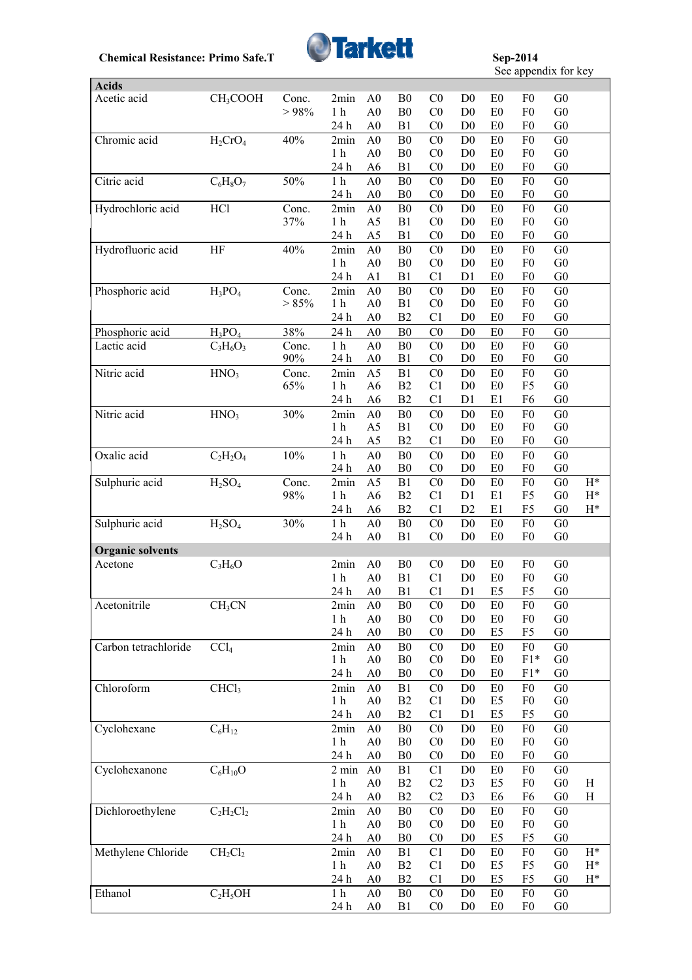

See appendix for key

|                         |                                |          |                        |                |                |                |                |                | $500$ appendix for $\pi$ cy |                |                |
|-------------------------|--------------------------------|----------|------------------------|----------------|----------------|----------------|----------------|----------------|-----------------------------|----------------|----------------|
| <b>Acids</b>            |                                |          |                        |                |                |                |                |                |                             |                |                |
| Acetic acid             | CH <sub>3</sub> COOH           | Conc.    | 2min                   | A <sub>0</sub> | B <sub>0</sub> | C <sub>0</sub> | D <sub>0</sub> | E <sub>0</sub> | F <sub>0</sub>              | G <sub>0</sub> |                |
|                         |                                | > 98%    | $1\ \mathrm{h}$        | A <sub>0</sub> | ${\bf B0}$     | C <sub>0</sub> | D <sub>0</sub> | E0             | F <sub>0</sub>              | G <sub>0</sub> |                |
|                         |                                |          | 24 h                   | A <sub>0</sub> | B1             | C <sub>0</sub> | D <sub>0</sub> | E <sub>0</sub> | F <sub>0</sub>              | G <sub>0</sub> |                |
| Chromic acid            | $H_2CrO_4$                     | 40%      | 2min                   | A <sub>0</sub> | ${\bf B0}$     | C <sub>0</sub> | D <sub>0</sub> | E0             | F <sub>0</sub>              | G <sub>0</sub> |                |
|                         |                                |          | 1 <sub>h</sub>         | A <sub>0</sub> | B <sub>0</sub> | C <sub>0</sub> | D <sub>0</sub> | E <sub>0</sub> | F <sub>0</sub>              | G <sub>0</sub> |                |
|                         |                                |          | 24 h                   | A6             | B1             | C <sub>0</sub> | D <sub>0</sub> | E <sub>0</sub> | F <sub>0</sub>              | G <sub>0</sub> |                |
| Citric acid             | $C_6H_8O_7$                    | 50%      | 1 <sub>h</sub>         | A <sub>0</sub> | B <sub>0</sub> | C <sub>0</sub> | D <sub>0</sub> | E <sub>0</sub> | F <sub>0</sub>              | G <sub>0</sub> |                |
|                         |                                |          | 24 h                   | A <sub>0</sub> | B <sub>0</sub> | C <sub>0</sub> | D <sub>0</sub> | E <sub>0</sub> | F <sub>0</sub>              | G <sub>0</sub> |                |
| Hydrochloric acid       | HCl                            | Conc.    | 2min                   | A <sub>0</sub> | B <sub>0</sub> | C <sub>0</sub> | D <sub>0</sub> | E <sub>0</sub> | F <sub>0</sub>              | G <sub>0</sub> |                |
|                         |                                | 37%      | 1 <sub>h</sub>         | A5             | B1             | C <sub>0</sub> | D <sub>0</sub> | E <sub>0</sub> | F <sub>0</sub>              | G <sub>0</sub> |                |
|                         |                                |          | 24 h                   | A5             | B1             | C <sub>0</sub> | D <sub>0</sub> | E0             | F <sub>0</sub>              | G <sub>0</sub> |                |
|                         |                                |          |                        |                |                |                |                |                |                             |                |                |
| Hydrofluoric acid       | HF                             | 40%      | 2min                   | A <sub>0</sub> | B <sub>0</sub> | C <sub>0</sub> | D <sub>0</sub> | E <sub>0</sub> | F <sub>0</sub>              | G <sub>0</sub> |                |
|                         |                                |          | 1 <sub>h</sub>         | A <sub>0</sub> | ${\bf B0}$     | C <sub>0</sub> | D <sub>0</sub> | E0             | F <sub>0</sub>              | G <sub>0</sub> |                |
|                         |                                |          | 24 h                   | A1             | B1             | C1             | D1             | E0             | F <sub>0</sub>              | ${\rm G0}$     |                |
| Phosphoric acid         | $H_3PO_4$                      | Conc.    | 2min                   | A <sub>0</sub> | ${\bf B0}$     | C <sub>0</sub> | D <sub>0</sub> | E <sub>0</sub> | F <sub>0</sub>              | G <sub>0</sub> |                |
|                         |                                | $> 85\%$ | 1 <sub>h</sub>         | A <sub>0</sub> | B1             | C <sub>0</sub> | D <sub>0</sub> | E0             | F <sub>0</sub>              | G <sub>0</sub> |                |
|                         |                                |          | 24 h                   | A <sub>0</sub> | B2             | C <sub>1</sub> | D <sub>0</sub> | E0             | F <sub>0</sub>              | ${\rm G0}$     |                |
| Phosphoric acid         | $H_3PO_4$                      | 38%      | 24 h                   | A <sub>0</sub> | ${\bf B0}$     | C <sub>0</sub> | D <sub>0</sub> | E <sub>0</sub> | F <sub>0</sub>              | G <sub>0</sub> |                |
| Lactic acid             | $C_3H_6O_3$                    | Conc.    | 1 <sub>h</sub>         | A <sub>0</sub> | ${\bf B0}$     | C <sub>0</sub> | D <sub>0</sub> | E0             | ${\rm F0}$                  | G <sub>0</sub> |                |
|                         |                                | 90%      | 24 h                   | A <sub>0</sub> | B1             | C <sub>0</sub> | D <sub>0</sub> | E <sub>0</sub> | F <sub>0</sub>              | G <sub>0</sub> |                |
| Nitric acid             | HNO <sub>3</sub>               | Conc.    | 2min                   | A <sub>5</sub> | B1             | C <sub>0</sub> | D <sub>0</sub> | E <sub>0</sub> | F <sub>0</sub>              | G <sub>0</sub> |                |
|                         |                                | 65%      | 1 <sub>h</sub>         | A <sub>6</sub> | B2             | C1             | D <sub>0</sub> | E0             | F <sub>5</sub>              | G <sub>0</sub> |                |
|                         |                                |          | 24 h                   | A <sub>6</sub> | B2             | C1             | D1             | E1             | F <sub>6</sub>              | ${\rm G0}$     |                |
| Nitric acid             |                                | 30%      |                        |                | ${\bf B0}$     | C <sub>0</sub> | D <sub>0</sub> | E <sub>0</sub> | F <sub>0</sub>              | G <sub>0</sub> |                |
|                         | HNO <sub>3</sub>               |          | 2min<br>1 <sub>h</sub> | A <sub>0</sub> |                | C <sub>0</sub> | D <sub>0</sub> |                | F <sub>0</sub>              | ${\rm G0}$     |                |
|                         |                                |          |                        | A <sub>5</sub> | B1             |                |                | E0             |                             |                |                |
|                         |                                |          | 24 h                   | A5             | B2             | C <sub>1</sub> | D <sub>0</sub> | E0             | F <sub>0</sub>              | G <sub>0</sub> |                |
| Oxalic acid             | $C_2H_2O_4$                    | $10\%$   | 1 <sub>h</sub>         | A <sub>0</sub> | B <sub>0</sub> | CO             | D <sub>0</sub> | E <sub>0</sub> | F <sub>0</sub>              | ${\rm G0}$     |                |
|                         |                                |          | 24 h                   | A <sub>0</sub> | B <sub>0</sub> | C <sub>0</sub> | D <sub>0</sub> | E <sub>0</sub> | F <sub>0</sub>              | G <sub>0</sub> |                |
| Sulphuric acid          | H <sub>2</sub> SO <sub>4</sub> | Conc.    | 2min                   | A <sub>5</sub> | B1             | C <sub>0</sub> | D <sub>0</sub> | E <sub>0</sub> | F <sub>0</sub>              | G <sub>0</sub> | $H^*$          |
|                         |                                | 98%      | 1 <sub>h</sub>         | A6             | B2             | C1             | D1             | E1             | F <sub>5</sub>              | G <sub>0</sub> | $\mathrm{H}^*$ |
|                         |                                |          | 24 h                   | A <sub>6</sub> | B2             | C1             | D2             | E1             | F <sub>5</sub>              | G <sub>0</sub> | $H^*$          |
| Sulphuric acid          | H <sub>2</sub> SO <sub>4</sub> | 30%      | 1 <sub>h</sub>         | A <sub>0</sub> | B <sub>0</sub> | C <sub>0</sub> | D <sub>0</sub> | E <sub>0</sub> | F <sub>0</sub>              | G <sub>0</sub> |                |
|                         |                                |          | 24 h                   | A <sub>0</sub> | B1             | C <sub>0</sub> | D <sub>0</sub> | E0             | F <sub>0</sub>              | G <sub>0</sub> |                |
| <b>Organic solvents</b> |                                |          |                        |                |                |                |                |                |                             |                |                |
| Acetone                 | $C_3H_6O$                      |          | 2min                   | A <sub>0</sub> | B <sub>0</sub> | C <sub>0</sub> | D <sub>0</sub> | E <sub>0</sub> | F <sub>0</sub>              | G <sub>0</sub> |                |
|                         |                                |          | 1 <sub>h</sub>         | A <sub>0</sub> | B1             | C1             | D <sub>0</sub> | E <sub>0</sub> | F <sub>0</sub>              | G <sub>0</sub> |                |
|                         |                                |          | 24 h                   | A <sub>0</sub> | B1             | C1             | D1             | E5             | F5                          | G <sub>0</sub> |                |
| Acetonitrile            |                                |          |                        | A <sub>0</sub> | B <sub>0</sub> | C <sub>0</sub> | D <sub>0</sub> | E0             | F <sub>0</sub>              | G <sub>0</sub> |                |
|                         | CH <sub>3</sub> CN             |          | 2min                   |                | ${\bf B0}$     |                | $\mathbf{D}0$  |                |                             |                |                |
|                         |                                |          | 1 <sub>h</sub>         | A <sub>0</sub> |                | C <sub>0</sub> |                | E0             | F <sub>0</sub>              | G <sub>0</sub> |                |
|                         |                                |          | 24 h                   | A <sub>0</sub> | B <sub>0</sub> | C <sub>0</sub> | D <sub>0</sub> | E5             | F <sub>5</sub>              | ${\rm G0}$     |                |
| Carbon tetrachloride    | CCl <sub>4</sub>               |          | 2min                   | A <sub>0</sub> | B <sub>0</sub> | C <sub>0</sub> | D <sub>0</sub> | E <sub>0</sub> | ${\rm F0}$                  | G <sub>0</sub> |                |
|                         |                                |          | 1 <sub>h</sub>         | A <sub>0</sub> | B <sub>0</sub> | C <sub>0</sub> | D <sub>0</sub> | E0             | $F1*$                       | G <sub>0</sub> |                |
|                         |                                |          | 24 h                   | A <sub>0</sub> | B <sub>0</sub> | C <sub>0</sub> | D <sub>0</sub> | E0             | $F1*$                       | G <sub>0</sub> |                |
| Chloroform              | CHCl <sub>3</sub>              |          | 2min                   | A <sub>0</sub> | B1             | C <sub>0</sub> | D <sub>0</sub> | E <sub>0</sub> | F <sub>0</sub>              | G <sub>0</sub> |                |
|                         |                                |          | 1 <sub>h</sub>         | A <sub>0</sub> | B2             | C1             | D <sub>0</sub> | E <sub>5</sub> | F <sub>0</sub>              | G <sub>0</sub> |                |
|                         |                                |          | 24 h                   | A <sub>0</sub> | B2             | C <sub>1</sub> | D1             | E <sub>5</sub> | F <sub>5</sub>              | G <sub>0</sub> |                |
| Cyclohexane             | $C_6H_{12}$                    |          | 2min                   | A <sub>0</sub> | ${\bf B0}$     | C <sub>0</sub> | D <sub>0</sub> | E0             | ${\rm F0}$                  | G <sub>0</sub> |                |
|                         |                                |          | 1 <sub>h</sub>         | A <sub>0</sub> | B <sub>0</sub> | C <sub>0</sub> | D <sub>0</sub> | E0             | ${\rm F0}$                  | G <sub>0</sub> |                |
|                         |                                |          | 24 h                   | A <sub>0</sub> | B <sub>0</sub> | C <sub>0</sub> | D <sub>0</sub> | E0             | F <sub>0</sub>              | G <sub>0</sub> |                |
| Cyclohexanone           | $C_6H_{10}O$                   |          | $2 \text{ min}$        | A <sub>0</sub> | B1             | C <sub>1</sub> | D <sub>0</sub> | E <sub>0</sub> | F <sub>0</sub>              | G <sub>0</sub> |                |
|                         |                                |          | 1 <sub>h</sub>         | A <sub>0</sub> | B2             | C2             | D <sub>3</sub> | E <sub>5</sub> | ${\rm F}0$                  | G <sub>0</sub> | H              |
|                         |                                |          | 24 h                   | A <sub>0</sub> | B2             | C2             | D <sub>3</sub> | E <sub>6</sub> | F <sub>6</sub>              | G <sub>0</sub> | H              |
|                         |                                |          |                        |                | B <sub>0</sub> | C <sub>0</sub> |                |                | F <sub>0</sub>              | G <sub>0</sub> |                |
| Dichloroethylene        | $C_2H_2Cl_2$                   |          | 2min                   | A <sub>0</sub> |                |                | D <sub>0</sub> | E0             |                             |                |                |
|                         |                                |          | 1 <sub>h</sub>         | A <sub>0</sub> | B <sub>0</sub> | C <sub>0</sub> | D <sub>0</sub> | E <sub>0</sub> | F <sub>0</sub>              | G <sub>0</sub> |                |
|                         |                                |          | 24 h                   | A <sub>0</sub> | B <sub>0</sub> | C <sub>0</sub> | D <sub>0</sub> | E5             | F <sub>5</sub>              | G <sub>0</sub> |                |
| Methylene Chloride      | $CH_2Cl_2$                     |          | 2min                   | A <sub>0</sub> | B1             | C1             | D <sub>0</sub> | E0             | F <sub>0</sub>              | G <sub>0</sub> | $H^*$          |
|                         |                                |          | 1 <sub>h</sub>         | A <sub>0</sub> | B2             | C1             | D <sub>0</sub> | E <sub>5</sub> | F <sub>5</sub>              | G <sub>0</sub> | $\mathrm{H}^*$ |
|                         |                                |          | 24 h                   | A <sub>0</sub> | B2             | C1             | D <sub>0</sub> | E <sub>5</sub> | F <sub>5</sub>              | G <sub>0</sub> | $H^*$          |
| Ethanol                 | $C_2H_5OH$                     |          | 1 <sub>h</sub>         | A <sub>0</sub> | ${\bf B0}$     | C <sub>0</sub> | D <sub>0</sub> | E0             | F <sub>0</sub>              | G <sub>0</sub> |                |
|                         |                                |          | 24 h                   | A <sub>0</sub> | B1             | C <sub>0</sub> | D <sub>0</sub> | E <sub>0</sub> | F <sub>0</sub>              | G <sub>0</sub> |                |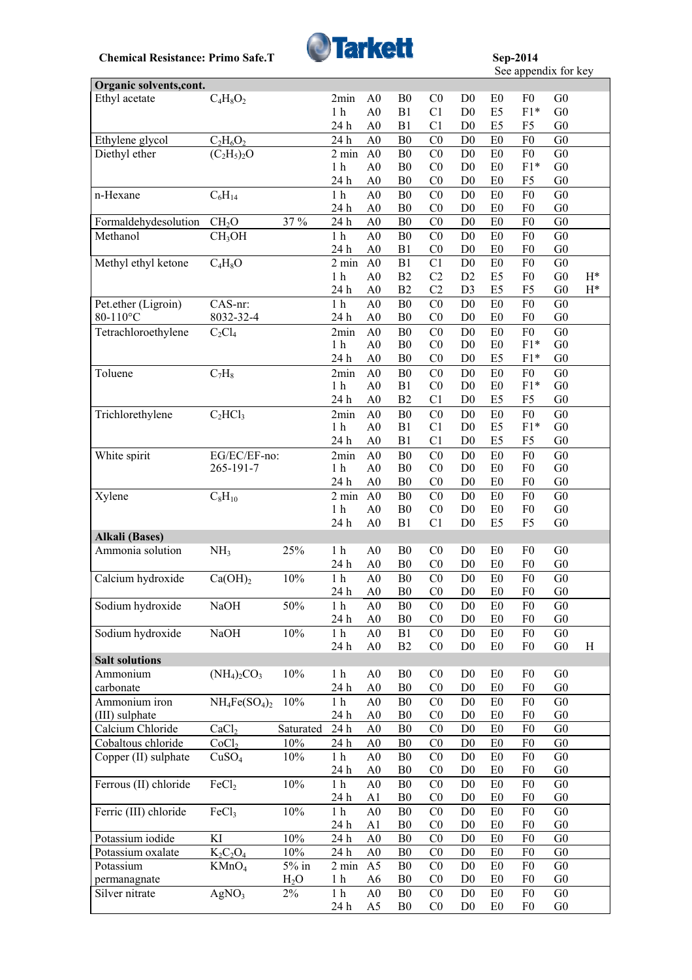

**See appendix for key** 

| Organic solvents, cont.                |                      |                  |                        |                                  |                                  |                                  |                                  |                                  |                                  |                                  |                |
|----------------------------------------|----------------------|------------------|------------------------|----------------------------------|----------------------------------|----------------------------------|----------------------------------|----------------------------------|----------------------------------|----------------------------------|----------------|
| Ethyl acetate                          | $C_4H_8O_2$          |                  | 2min                   | A <sub>0</sub>                   | B <sub>0</sub>                   | C <sub>0</sub>                   | D <sub>0</sub>                   | E <sub>0</sub>                   | F <sub>0</sub>                   | G <sub>0</sub>                   |                |
|                                        |                      |                  | 1 <sub>h</sub>         | A <sub>0</sub>                   | B1                               | C <sub>1</sub>                   | D <sub>0</sub>                   | E <sub>5</sub>                   | $F1*$                            | G <sub>0</sub>                   |                |
|                                        |                      |                  | 24 h                   | A <sub>0</sub>                   | B1                               | C <sub>1</sub>                   | D <sub>0</sub>                   | E <sub>5</sub>                   | F5                               | G <sub>0</sub>                   |                |
| Ethylene glycol                        | $C_2H_6O_2$          |                  | 24 h                   | A <sub>0</sub>                   | B <sub>0</sub>                   | C <sub>0</sub>                   | D <sub>0</sub>                   | E0                               | F <sub>0</sub>                   | ${\rm G0}$                       |                |
| Diethyl ether                          | $(C_2H_5)_2O$        |                  | $2 \text{ min}$        | A <sub>0</sub>                   | B <sub>0</sub>                   | C <sub>0</sub>                   | D <sub>0</sub>                   | E <sub>0</sub>                   | F <sub>0</sub>                   | G <sub>0</sub>                   |                |
|                                        |                      |                  | 1 <sub>h</sub>         | A <sub>0</sub>                   | B <sub>0</sub>                   | CO                               | D <sub>0</sub>                   | E <sub>0</sub>                   | $F1*$                            | G <sub>0</sub>                   |                |
|                                        |                      |                  | 24 h                   | A <sub>0</sub>                   | B <sub>0</sub>                   | C <sub>0</sub>                   | D <sub>0</sub>                   | E <sub>0</sub>                   | F <sub>5</sub>                   | G <sub>0</sub>                   |                |
| n-Hexane                               | $C_6H_{14}$          |                  | $1\ \mathrm{h}$        | A <sub>0</sub>                   | B <sub>0</sub>                   | C <sub>0</sub>                   | D <sub>0</sub>                   | E0                               | F <sub>0</sub>                   | G <sub>0</sub>                   |                |
|                                        |                      |                  | 24 h                   | A <sub>0</sub>                   | B <sub>0</sub>                   | C <sub>0</sub>                   | D <sub>0</sub>                   | E <sub>0</sub>                   | F <sub>0</sub>                   | G <sub>0</sub>                   |                |
| Formaldehydesolution                   | CH <sub>2</sub> O    | 37 %             | 24 h                   | A <sub>0</sub>                   | B <sub>0</sub>                   | C <sub>0</sub>                   | D <sub>0</sub>                   | E <sub>0</sub>                   | F <sub>0</sub>                   | G <sub>0</sub>                   |                |
| Methanol                               | CH <sub>3</sub> OH   |                  | 1 <sub>h</sub>         | A <sub>0</sub>                   | B <sub>0</sub>                   | CO                               | D <sub>0</sub>                   | E0                               | F <sub>0</sub>                   | G <sub>0</sub>                   |                |
|                                        |                      |                  | 24 h                   | A <sub>0</sub>                   | B1                               | C <sub>0</sub>                   | D <sub>0</sub>                   | E0                               | F <sub>0</sub>                   | G <sub>0</sub>                   |                |
| Methyl ethyl ketone                    | $\overline{C}_4H_8O$ |                  | 2 min                  | A <sub>0</sub>                   | B1                               | C <sub>1</sub>                   | D <sub>0</sub>                   | E <sub>0</sub>                   | F <sub>0</sub>                   | G <sub>0</sub>                   |                |
|                                        |                      |                  | 1 <sub>h</sub>         | A <sub>0</sub>                   | B2                               | C <sub>2</sub>                   | D2                               | E <sub>5</sub>                   | F <sub>0</sub>                   | G <sub>0</sub>                   | $H^*$          |
|                                        |                      |                  | 24 h                   | A <sub>0</sub>                   | B2                               | C <sub>2</sub>                   | D <sub>3</sub>                   | E <sub>5</sub>                   | F <sub>5</sub>                   | ${\rm G0}$                       | $\mathrm{H}^*$ |
| Pet.ether (Ligroin)                    | CAS-nr:              |                  | $1\ \mathrm{h}$        | A <sub>0</sub>                   | B <sub>0</sub>                   | CO                               | D <sub>0</sub>                   | E0                               | F <sub>0</sub>                   | G <sub>0</sub>                   |                |
| 80-110°C                               | 8032-32-4            |                  | 24 h                   | A <sub>0</sub>                   | ${\bf B0}$                       | C <sub>0</sub>                   | D <sub>0</sub>                   | E <sub>0</sub>                   | F <sub>0</sub>                   | G <sub>0</sub>                   |                |
| Tetrachloroethylene                    | $C_2Cl_4$            |                  | 2min                   | A <sub>0</sub>                   | B <sub>0</sub>                   | C <sub>0</sub>                   | D <sub>0</sub>                   | E <sub>0</sub>                   | F <sub>0</sub>                   | G <sub>0</sub>                   |                |
|                                        |                      |                  | 1 <sub>h</sub>         | A <sub>0</sub>                   | B <sub>0</sub>                   | C <sub>0</sub>                   | D <sub>0</sub>                   | E <sub>0</sub>                   | $F1*$                            | G <sub>0</sub>                   |                |
|                                        |                      |                  | 24 h                   | A <sub>0</sub>                   | B <sub>0</sub>                   | C <sub>0</sub>                   | D <sub>0</sub>                   | E <sub>5</sub>                   | $F1*$                            | G <sub>0</sub>                   |                |
| Toluene                                | $C_7H_8$             |                  | 2min                   | A <sub>0</sub>                   | B <sub>0</sub>                   | C <sub>0</sub>                   | D <sub>0</sub>                   | E <sub>0</sub>                   | F <sub>0</sub>                   | G <sub>0</sub>                   |                |
|                                        |                      |                  | 1 <sub>h</sub>         | A <sub>0</sub>                   | B1                               | C <sub>0</sub>                   | D <sub>0</sub>                   | E0                               | $F1*$                            | G <sub>0</sub>                   |                |
|                                        |                      |                  | 24h                    | A <sub>0</sub>                   | B2                               | C <sub>1</sub>                   | D <sub>0</sub>                   | E <sub>5</sub>                   | F <sub>5</sub>                   | G <sub>0</sub>                   |                |
| Trichlorethylene                       | $C_2HCl_3$           |                  | 2min                   | A <sub>0</sub>                   | B <sub>0</sub>                   | C <sub>0</sub>                   | D <sub>0</sub>                   | E <sub>0</sub>                   | F <sub>0</sub>                   | G <sub>0</sub>                   |                |
|                                        |                      |                  | 1 <sub>h</sub>         | A <sub>0</sub>                   | B1                               | C1                               | D <sub>0</sub>                   | E <sub>5</sub>                   | $F1*$                            | G <sub>0</sub>                   |                |
|                                        |                      |                  | 24 h                   | A <sub>0</sub>                   | B1                               | C <sub>1</sub>                   | D <sub>0</sub>                   | E <sub>5</sub>                   | F <sub>5</sub>                   | G <sub>0</sub>                   |                |
| White spirit                           | EG/EC/EF-no:         |                  | 2min                   | A <sub>0</sub>                   | B <sub>0</sub>                   | C <sub>0</sub>                   | D <sub>0</sub>                   | E0                               | F <sub>0</sub>                   | G <sub>0</sub>                   |                |
|                                        | 265-191-7            |                  | 1 <sub>h</sub>         | A <sub>0</sub>                   | B <sub>0</sub>                   | CO                               | D <sub>0</sub>                   | E <sub>0</sub>                   | F <sub>0</sub>                   | ${\rm G0}$                       |                |
|                                        |                      |                  | 24 h                   | A <sub>0</sub>                   | B <sub>0</sub>                   | C <sub>0</sub>                   | D <sub>0</sub>                   | E <sub>0</sub>                   | F <sub>0</sub>                   | G <sub>0</sub>                   |                |
| Xylene                                 | $C_8H_{10}$          |                  | 2 min                  | A <sub>0</sub>                   | B <sub>0</sub>                   | C <sub>0</sub>                   | D <sub>0</sub>                   | E <sub>0</sub>                   | F <sub>0</sub>                   | G <sub>0</sub>                   |                |
|                                        |                      |                  | 1 <sub>h</sub>         | A <sub>0</sub>                   | B <sub>0</sub>                   | C <sub>0</sub>                   | D <sub>0</sub>                   | E <sub>0</sub>                   | F <sub>0</sub>                   | G <sub>0</sub>                   |                |
|                                        |                      |                  | 24 h                   | A <sub>0</sub>                   | B1                               | C1                               | D <sub>0</sub>                   | E <sub>5</sub>                   | F <sub>5</sub>                   | G <sub>0</sub>                   |                |
| <b>Alkali</b> (Bases)                  |                      |                  |                        |                                  |                                  |                                  |                                  |                                  |                                  |                                  |                |
| Ammonia solution                       | NH <sub>3</sub>      | 25%              | 1 <sub>h</sub>         | A <sub>0</sub>                   | B <sub>0</sub>                   | CO                               | D <sub>0</sub>                   | E <sub>0</sub>                   | F <sub>0</sub>                   | G <sub>0</sub>                   |                |
|                                        |                      |                  | 24 h                   | A <sub>0</sub>                   | B <sub>0</sub>                   | C <sub>0</sub>                   | D <sub>0</sub>                   | E0                               | F <sub>0</sub>                   | G <sub>0</sub>                   |                |
| Calcium hydroxide                      | Ca(OH) <sub>2</sub>  | 10%              | 1 <sub>h</sub>         | A <sub>0</sub>                   | B <sub>0</sub>                   | CO                               | D <sub>0</sub>                   | E <sub>0</sub>                   | F <sub>0</sub>                   | G <sub>0</sub>                   |                |
|                                        |                      |                  | 24 h                   | A <sub>0</sub>                   | B <sub>0</sub>                   | C <sub>0</sub>                   | D <sub>0</sub>                   | E0                               | F <sub>0</sub>                   | G <sub>0</sub>                   |                |
| Sodium hydroxide                       | NaOH                 | 50%              | 1 h                    | A0                               | B <sub>0</sub>                   | $_{\rm C0}$                      | D <sub>0</sub>                   | E <sub>0</sub>                   | F <sub>0</sub>                   | G <sub>0</sub>                   |                |
|                                        |                      |                  | 24 h                   | A <sub>0</sub>                   | B <sub>0</sub>                   | C <sub>0</sub>                   | D <sub>0</sub>                   | E <sub>0</sub>                   | F <sub>0</sub>                   | G <sub>0</sub>                   |                |
| Sodium hydroxide                       | <b>NaOH</b>          | 10%              | 1 <sub>h</sub>         | A <sub>0</sub>                   | B1                               | C <sub>0</sub>                   | D <sub>0</sub>                   | E0                               | F <sub>0</sub>                   | G <sub>0</sub>                   |                |
|                                        |                      |                  | 24 h                   | A <sub>0</sub>                   | B2                               | C <sub>0</sub>                   | D <sub>0</sub>                   | E0                               | F <sub>0</sub>                   | ${\rm G0}$                       | H              |
| <b>Salt solutions</b><br>Ammonium      |                      | 10%              |                        |                                  |                                  | C <sub>0</sub>                   |                                  |                                  | F <sub>0</sub>                   | G <sub>0</sub>                   |                |
| carbonate                              | $(NH_4)_2CO_3$       |                  | 1 <sub>h</sub><br>24 h | A <sub>0</sub><br>A <sub>0</sub> | B <sub>0</sub><br>B <sub>0</sub> | C <sub>0</sub>                   | D <sub>0</sub><br>D <sub>0</sub> | E <sub>0</sub><br>E0             | F <sub>0</sub>                   | G <sub>0</sub>                   |                |
|                                        |                      |                  |                        |                                  |                                  |                                  |                                  |                                  |                                  |                                  |                |
| Ammonium iron                          | $NH_4Fe(SO_4)_2$     | 10%              | 1 <sub>h</sub><br>24 h | A <sub>0</sub><br>A <sub>0</sub> | B <sub>0</sub><br>B <sub>0</sub> | C <sub>0</sub><br>C <sub>0</sub> | D <sub>0</sub><br>D <sub>0</sub> | E0<br>E <sub>0</sub>             | F <sub>0</sub><br>F <sub>0</sub> | G <sub>0</sub><br>G <sub>0</sub> |                |
| (III) sulphate                         |                      |                  | 24 h                   |                                  | B <sub>0</sub>                   | CO                               | D <sub>0</sub>                   | E0                               | F <sub>0</sub>                   | ${\rm G0}$                       |                |
| Calcium Chloride<br>Cobaltous chloride | CaCl <sub>2</sub>    | Saturated<br>10% | 24 h                   | A <sub>0</sub><br>A <sub>0</sub> |                                  | C <sub>0</sub>                   | D <sub>0</sub>                   | E <sub>0</sub>                   | F <sub>0</sub>                   | G <sub>0</sub>                   |                |
|                                        | CoCl <sub>2</sub>    |                  |                        |                                  | B <sub>0</sub>                   |                                  |                                  |                                  |                                  |                                  |                |
| Copper (II) sulphate                   | CuSO <sub>4</sub>    | 10%              | 1 <sub>h</sub><br>24 h | A <sub>0</sub><br>A <sub>0</sub> | B <sub>0</sub><br>B <sub>0</sub> | C <sub>0</sub><br>C <sub>0</sub> | D <sub>0</sub><br>D <sub>0</sub> | E <sub>0</sub><br>E <sub>0</sub> | F <sub>0</sub><br>F <sub>0</sub> | G <sub>0</sub><br>G <sub>0</sub> |                |
|                                        |                      |                  |                        |                                  |                                  |                                  |                                  |                                  |                                  |                                  |                |
| Ferrous (II) chloride                  | FeCl <sub>2</sub>    | 10%              | 1 <sub>h</sub><br>24 h | A <sub>0</sub><br>A <sub>1</sub> | B <sub>0</sub><br>B <sub>0</sub> | C <sub>0</sub><br>C <sub>0</sub> | D <sub>0</sub><br>D <sub>0</sub> | E <sub>0</sub><br>E <sub>0</sub> | F <sub>0</sub><br>F <sub>0</sub> | G <sub>0</sub><br>G <sub>0</sub> |                |
| Ferric (III) chloride                  | FeCl <sub>3</sub>    | $10\%$           | $1\ \mathrm{h}$        | A <sub>0</sub>                   | B <sub>0</sub>                   | C <sub>0</sub>                   |                                  |                                  | F <sub>0</sub>                   | G <sub>0</sub>                   |                |
|                                        |                      |                  | 24 h                   | A <sub>1</sub>                   | B <sub>0</sub>                   | C <sub>0</sub>                   | D <sub>0</sub><br>D <sub>0</sub> | E <sub>0</sub><br>E <sub>0</sub> | F <sub>0</sub>                   | G <sub>0</sub>                   |                |
| Potassium iodide                       | KI                   | 10%              | 24 h                   | A <sub>0</sub>                   | B <sub>0</sub>                   | C <sub>0</sub>                   | D <sub>0</sub>                   | E0                               | F <sub>0</sub>                   | ${\rm G0}$                       |                |
| Potassium oxalate                      | $K_2C_2O_4$          | 10%              | 24 h                   | A <sub>0</sub>                   | B <sub>0</sub>                   | C <sub>0</sub>                   | D <sub>0</sub>                   |                                  | F <sub>0</sub>                   | G <sub>0</sub>                   |                |
| Potassium                              | KMnO <sub>4</sub>    | $5\%$ in         | $2 \text{ min}$        | A5                               | B <sub>0</sub>                   | C <sub>0</sub>                   | D <sub>0</sub>                   | E <sub>0</sub><br>E <sub>0</sub> | F <sub>0</sub>                   | G <sub>0</sub>                   |                |
| permanagnate                           |                      | $H_2O$           | 1 <sub>h</sub>         | A <sub>6</sub>                   | B <sub>0</sub>                   | C <sub>0</sub>                   | D <sub>0</sub>                   | E <sub>0</sub>                   | F <sub>0</sub>                   | G <sub>0</sub>                   |                |
| Silver nitrate                         | AgNO <sub>3</sub>    | $2\%$            | 1 <sub>h</sub>         | A <sub>0</sub>                   | B <sub>0</sub>                   | C <sub>0</sub>                   | D <sub>0</sub>                   | E <sub>0</sub>                   | F <sub>0</sub>                   | G <sub>0</sub>                   |                |
|                                        |                      |                  | 24 h                   | A <sub>5</sub>                   | B <sub>0</sub>                   | C <sub>0</sub>                   | D <sub>0</sub>                   | E <sub>0</sub>                   | F <sub>0</sub>                   | G <sub>0</sub>                   |                |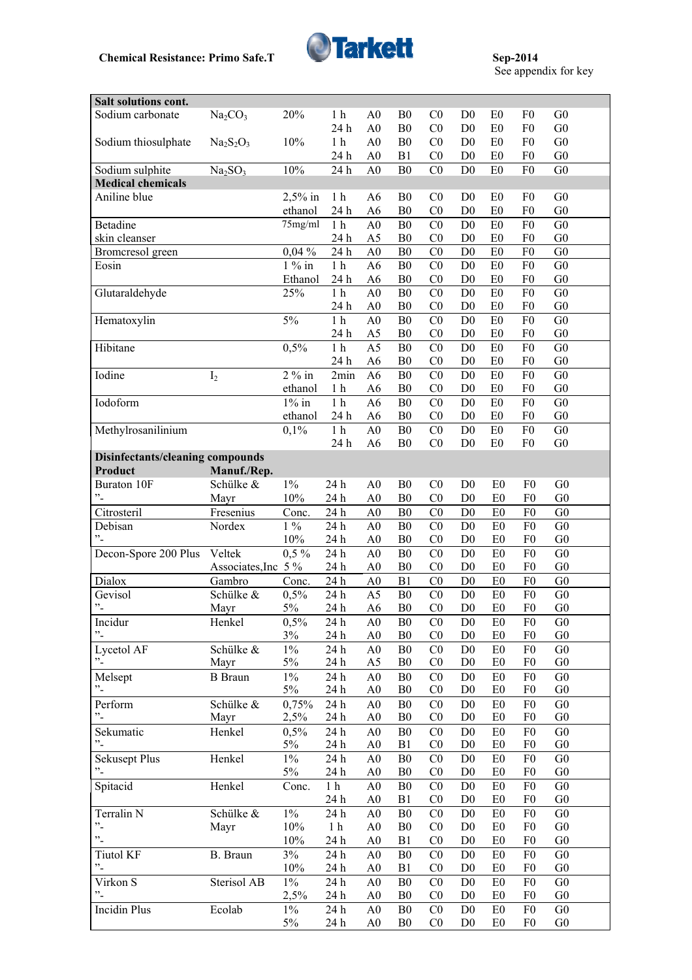

| Salt solutions cont.                        |                                     |              |                  |                                  |                                  |                                  |                                  |                      |                                  |                                  |
|---------------------------------------------|-------------------------------------|--------------|------------------|----------------------------------|----------------------------------|----------------------------------|----------------------------------|----------------------|----------------------------------|----------------------------------|
| Sodium carbonate                            | Na <sub>2</sub> CO <sub>3</sub>     | 20%          | 1 <sub>h</sub>   | A <sub>0</sub>                   | B <sub>0</sub>                   | C <sub>0</sub>                   | D <sub>0</sub>                   | E <sub>0</sub>       | F <sub>0</sub>                   | G <sub>0</sub>                   |
|                                             |                                     |              | 24 h             | A <sub>0</sub>                   | B <sub>0</sub>                   | C <sub>0</sub>                   | D <sub>0</sub>                   | E <sub>0</sub>       | F <sub>0</sub>                   | G <sub>0</sub>                   |
| Sodium thiosulphate                         | $Na2S2O3$                           | 10%          | 1 <sub>h</sub>   | A <sub>0</sub>                   | B <sub>0</sub>                   | CO                               | D <sub>0</sub>                   | E <sub>0</sub>       | F <sub>0</sub>                   | G <sub>0</sub>                   |
|                                             |                                     |              | 24 h             | A <sub>0</sub>                   | B1                               | C <sub>0</sub>                   | D <sub>0</sub>                   | E <sub>0</sub>       | F <sub>0</sub>                   | G <sub>0</sub>                   |
| Sodium sulphite                             | $\overline{\text{Na}_2\text{SO}_3}$ | 10%          | 24 h             | A <sub>0</sub>                   | B <sub>0</sub>                   | CO                               | D <sub>0</sub>                   | E <sub>0</sub>       | F <sub>0</sub>                   | G <sub>0</sub>                   |
| <b>Medical chemicals</b>                    |                                     |              |                  |                                  |                                  |                                  |                                  |                      |                                  |                                  |
| Aniline blue                                |                                     | $2,5%$ in    | 1 <sub>h</sub>   | A <sub>6</sub>                   | B <sub>0</sub>                   | C <sub>0</sub>                   | D <sub>0</sub>                   | E <sub>0</sub>       | F <sub>0</sub>                   | G <sub>0</sub>                   |
|                                             |                                     | ethanol      | 24 h             | A <sub>6</sub>                   | B <sub>0</sub>                   | CO                               | D <sub>0</sub>                   | E <sub>0</sub>       | F <sub>0</sub>                   | G <sub>0</sub>                   |
| Betadine                                    |                                     | 75mg/ml      | $1\ \mathrm{h}$  | A <sub>0</sub>                   | B <sub>0</sub>                   | C <sub>0</sub>                   | D <sub>0</sub>                   | E <sub>0</sub>       | F <sub>0</sub>                   | G <sub>0</sub>                   |
| skin cleanser                               |                                     |              | 24 h             | A <sub>5</sub>                   | B <sub>0</sub>                   | CO                               | D <sub>0</sub>                   | E <sub>0</sub>       | F <sub>0</sub>                   | G <sub>0</sub>                   |
| Bromcresol green                            |                                     | 0,04%        | 24 h             | A <sub>0</sub>                   | B <sub>0</sub>                   | C <sub>0</sub>                   | D <sub>0</sub>                   | E <sub>0</sub>       | F <sub>0</sub>                   | G <sub>0</sub>                   |
| Eosin                                       |                                     | $1\%$ in     | 1 <sub>h</sub>   | A <sub>6</sub>                   | B <sub>0</sub>                   | C <sub>0</sub>                   | D <sub>0</sub>                   | E <sub>0</sub>       | F <sub>0</sub>                   | G <sub>0</sub>                   |
|                                             |                                     | Ethanol      | 24 h             | A <sub>6</sub>                   | B <sub>0</sub>                   | C <sub>0</sub>                   | D <sub>0</sub>                   | E0                   | F <sub>0</sub>                   | G <sub>0</sub>                   |
| Glutaraldehyde                              |                                     | 25%          | $1h$             | A <sub>0</sub>                   | B <sub>0</sub>                   | C <sub>0</sub>                   | D <sub>0</sub>                   | E0                   | F <sub>0</sub>                   | G <sub>0</sub>                   |
|                                             |                                     |              | 24 h             | ${\bf A0}$                       | B <sub>0</sub>                   | C <sub>0</sub>                   | D <sub>0</sub>                   | E0                   | F <sub>0</sub>                   | G <sub>0</sub>                   |
| Hematoxylin                                 |                                     | $5\%$        | 1 <sub>h</sub>   | A <sub>0</sub>                   | B <sub>0</sub>                   | C <sub>0</sub>                   | D <sub>0</sub>                   | E0                   | F <sub>0</sub>                   | G <sub>0</sub>                   |
|                                             |                                     |              | 24 h             | A <sub>5</sub>                   | B <sub>0</sub>                   | C <sub>0</sub>                   | D <sub>0</sub>                   | E <sub>0</sub>       | F <sub>0</sub>                   | G <sub>0</sub>                   |
| Hibitane                                    |                                     | 0,5%         | $1\ \mathrm{h}$  | A <sub>5</sub>                   | B <sub>0</sub>                   | CO                               | D <sub>0</sub>                   | E0                   | F <sub>0</sub>                   | G <sub>0</sub>                   |
|                                             |                                     |              | 24 h             | A <sub>6</sub>                   | B <sub>0</sub>                   | C <sub>0</sub>                   | D <sub>0</sub>                   | E0                   | F <sub>0</sub>                   | G <sub>0</sub>                   |
| Iodine                                      | I <sub>2</sub>                      | $2\%$ in     | 2min             | A <sub>6</sub>                   | B <sub>0</sub>                   | C <sub>0</sub>                   | D <sub>0</sub>                   | E <sub>0</sub>       | F <sub>0</sub>                   | G <sub>0</sub>                   |
|                                             |                                     | ethanol      | 1 <sub>h</sub>   | A6                               | B <sub>0</sub>                   | CO                               | D <sub>0</sub>                   | E <sub>0</sub>       | F <sub>0</sub>                   | G <sub>0</sub>                   |
| Iodoform                                    |                                     | $1\%$ in     | 1 <sub>h</sub>   | A <sub>6</sub>                   | B <sub>0</sub>                   | CO                               | D <sub>0</sub>                   | E <sub>0</sub>       | F <sub>0</sub>                   | G <sub>0</sub>                   |
|                                             |                                     | ethanol      | 24 h             | A <sub>6</sub>                   | B <sub>0</sub>                   | CO                               | D <sub>0</sub>                   | E <sub>0</sub>       | F <sub>0</sub>                   | G <sub>0</sub>                   |
| Methylrosanilinium                          |                                     | 0,1%         | 1 <sub>h</sub>   | A <sub>0</sub>                   | B <sub>0</sub>                   | C <sub>0</sub>                   | D <sub>0</sub>                   | E <sub>0</sub>       | F <sub>0</sub>                   | G <sub>0</sub>                   |
|                                             |                                     |              | 24 h             | A <sub>6</sub>                   | B <sub>0</sub>                   | C <sub>0</sub>                   | D <sub>0</sub>                   | E <sub>0</sub>       | F <sub>0</sub>                   | G <sub>0</sub>                   |
| Disinfectants/cleaning compounds<br>Product | Manuf./Rep.                         |              |                  |                                  |                                  |                                  |                                  |                      |                                  |                                  |
| Buraton 10F                                 | Schülke &                           | $1\%$        | 24 h             | A <sub>0</sub>                   | B <sub>0</sub>                   | C <sub>0</sub>                   | D <sub>0</sub>                   | E <sub>0</sub>       | F <sub>0</sub>                   | G <sub>0</sub>                   |
| $^{\prime\prime}$ -                         | Mayr                                | 10%          | 24 h             | A <sub>0</sub>                   | B <sub>0</sub>                   | CO                               | D <sub>0</sub>                   | E <sub>0</sub>       | F <sub>0</sub>                   | G <sub>0</sub>                   |
| Citrosteril                                 | Fresenius                           | Conc.        | 24 h             | A <sub>0</sub>                   | B <sub>0</sub>                   | CO                               | D <sub>0</sub>                   | E <sub>0</sub>       | F <sub>0</sub>                   | G <sub>0</sub>                   |
| Debisan                                     | Nordex                              | $1\%$        | 24 h             | A <sub>0</sub>                   | B <sub>0</sub>                   | C <sub>0</sub>                   | D <sub>0</sub>                   | E <sub>0</sub>       | F <sub>0</sub>                   | G <sub>0</sub>                   |
| "-                                          |                                     | 10%          | 24 h             | A <sub>0</sub>                   | B <sub>0</sub>                   | CO                               | D <sub>0</sub>                   | E <sub>0</sub>       | F <sub>0</sub>                   | G <sub>0</sub>                   |
| Decon-Spore 200 Plus                        | Veltek                              | $0,5\%$      | 24 h             | A <sub>0</sub>                   | B <sub>0</sub>                   | CO                               | D <sub>0</sub>                   | E <sub>0</sub>       | F <sub>0</sub>                   | G <sub>0</sub>                   |
|                                             | Associates, Inc 5 %                 |              | 24 h             | A <sub>0</sub>                   | B <sub>0</sub>                   | C <sub>0</sub>                   | D <sub>0</sub>                   | E <sub>0</sub>       | F <sub>0</sub>                   | G <sub>0</sub>                   |
| Dialox                                      | Gambro                              | Conc.        | 24 h             | A <sub>0</sub>                   | B <sub>1</sub>                   | C <sub>0</sub>                   | D <sub>0</sub>                   | E <sub>0</sub>       | F <sub>0</sub>                   | G <sub>0</sub>                   |
| Gevisol                                     | Schülke &                           | 0,5%         | 24 h             | A5                               | B <sub>0</sub>                   | CO                               | D <sub>0</sub>                   | E <sub>0</sub>       | F <sub>0</sub>                   | G <sub>0</sub>                   |
| $^{\prime\prime}$ -                         | Mayr                                | 5%           | 24 h             | A <sub>6</sub>                   | B <sub>0</sub>                   | CO                               | D <sub>0</sub>                   | E <sub>0</sub>       | F <sub>0</sub>                   | G <sub>0</sub>                   |
| Incidur                                     | Henkel                              | 0,5%         | 24 h             | A <sub>0</sub>                   | B <sub>0</sub>                   | C <sub>0</sub>                   | D <sub>0</sub>                   | E <sub>0</sub>       | F <sub>0</sub>                   | G <sub>0</sub>                   |
| $^{\circ}$ $^{\circ}$                       |                                     | 3%           | 24 h             | A <sub>0</sub>                   | B <sub>0</sub>                   | C <sub>0</sub>                   | D <sub>0</sub>                   | E <sub>0</sub>       | F <sub>0</sub>                   | G <sub>0</sub>                   |
| Lycetol AF                                  | Schülke &                           | $1\%$        | $24\ \mathrm{h}$ | A <sub>0</sub>                   | B <sub>0</sub>                   | C <sub>0</sub>                   | D <sub>0</sub>                   | E <sub>0</sub>       | F <sub>0</sub>                   | G <sub>0</sub>                   |
| $\cdot$ .                                   | Mayr                                | 5%           | 24 h             | A5                               | B <sub>0</sub>                   | C <sub>0</sub>                   | D <sub>0</sub>                   | E <sub>0</sub>       | F <sub>0</sub>                   | ${\rm G0}$                       |
| Melsept                                     | <b>B</b> Braun                      | $1\%$        | 24 h             | A <sub>0</sub>                   | B <sub>0</sub>                   | C <sub>0</sub>                   | D <sub>0</sub>                   | E <sub>0</sub>       | F <sub>0</sub>                   | G <sub>0</sub>                   |
| $^{\prime\prime}$ -                         |                                     | 5%           | 24 h             | A <sub>0</sub>                   | B <sub>0</sub>                   | C <sub>0</sub>                   | D <sub>0</sub>                   | E <sub>0</sub>       | F <sub>0</sub>                   | G <sub>0</sub>                   |
| Perform                                     | Schülke &                           | 0,75%        | $24\ \mathrm{h}$ | A <sub>0</sub>                   | B <sub>0</sub>                   | C <sub>0</sub>                   | D <sub>0</sub>                   | E <sub>0</sub>       | F <sub>0</sub>                   | ${\rm G0}$                       |
| $\cdot$ -                                   | Mayr                                | 2,5%         | 24 h             | A <sub>0</sub>                   | B <sub>0</sub>                   | C <sub>0</sub>                   | D <sub>0</sub>                   | E <sub>0</sub>       | F <sub>0</sub>                   | G <sub>0</sub>                   |
| Sekumatic                                   | Henkel                              | 0,5%         | 24 h             | A <sub>0</sub>                   | B <sub>0</sub>                   | C <sub>0</sub>                   | D <sub>0</sub>                   | E <sub>0</sub>       | F <sub>0</sub>                   | G <sub>0</sub>                   |
| $\cdot$ -                                   |                                     | $5\%$        | 24 h             | A <sub>0</sub>                   | B1                               | C <sub>0</sub>                   | D <sub>0</sub>                   | E <sub>0</sub>       | F <sub>0</sub>                   | G <sub>0</sub>                   |
| <b>Sekusept Plus</b>                        | Henkel                              | $1\%$        | 24 h             | A <sub>0</sub>                   | B <sub>0</sub>                   | C <sub>0</sub>                   | D <sub>0</sub>                   | E <sub>0</sub>       | F <sub>0</sub>                   | G <sub>0</sub>                   |
| $\cdot$ <sup>2</sup>                        |                                     | $5\%$        | 24 h             | A <sub>0</sub>                   | B <sub>0</sub>                   | C <sub>0</sub>                   | D <sub>0</sub>                   | E <sub>0</sub>       | F <sub>0</sub>                   | G <sub>0</sub>                   |
| Spitacid                                    | Henkel                              | Conc.        | 1 <sub>h</sub>   | A <sub>0</sub>                   | B <sub>0</sub>                   | C <sub>0</sub>                   | D <sub>0</sub>                   | E <sub>0</sub>       | F <sub>0</sub>                   | G <sub>0</sub>                   |
|                                             |                                     |              | 24 h             | A <sub>0</sub>                   | B1                               | C <sub>0</sub>                   | D <sub>0</sub>                   | E <sub>0</sub>       | F <sub>0</sub>                   | G <sub>0</sub>                   |
| Terralin N<br>$\cdot$ .                     | Schülke &                           | $1\%$        | 24 h             | A <sub>0</sub>                   | B <sub>0</sub>                   | C <sub>0</sub>                   | D <sub>0</sub>                   | E <sub>0</sub>       | F <sub>0</sub>                   | G <sub>0</sub>                   |
| $\ddot{\phantom{0}}$                        | Mayr                                | 10%          | 1 <sub>h</sub>   | A <sub>0</sub>                   | B <sub>0</sub>                   | C <sub>0</sub>                   | D <sub>0</sub>                   | E <sub>0</sub>       | F <sub>0</sub>                   | ${\rm G0}$                       |
|                                             |                                     | 10%          | 24 h             | A <sub>0</sub>                   | B1                               | C <sub>0</sub>                   | D <sub>0</sub>                   | E <sub>0</sub>       | F <sub>0</sub>                   | G <sub>0</sub>                   |
| <b>Tiutol KF</b>                            | B. Braun                            | 3%<br>$10\%$ | 24 h             | A <sub>0</sub>                   | B <sub>0</sub>                   | C <sub>0</sub>                   | D <sub>0</sub>                   | E0                   | F <sub>0</sub>                   | G <sub>0</sub>                   |
| $\cdot$ -                                   |                                     |              | 24 h             | A <sub>0</sub>                   | B1                               | C <sub>0</sub>                   | D <sub>0</sub>                   | E <sub>0</sub>       | F <sub>0</sub>                   | G <sub>0</sub>                   |
| Virkon S                                    | Sterisol AB                         | $1\%$        | 24 h             | A <sub>0</sub>                   | B <sub>0</sub>                   | C <sub>0</sub>                   | D <sub>0</sub>                   | E <sub>0</sub>       | F <sub>0</sub>                   | G <sub>0</sub>                   |
| $\cdot$ -                                   |                                     | 2,5%         | 24 h             | A <sub>0</sub>                   | B <sub>0</sub>                   | C <sub>0</sub>                   | D <sub>0</sub>                   | E <sub>0</sub>       | ${\rm F0}$                       | G <sub>0</sub>                   |
| <b>Incidin Plus</b>                         | Ecolab                              | $1\%$<br>5%  | 24 h<br>24 h     | A <sub>0</sub><br>A <sub>0</sub> | B <sub>0</sub><br>B <sub>0</sub> | C <sub>0</sub><br>C <sub>0</sub> | D <sub>0</sub><br>D <sub>0</sub> | E <sub>0</sub><br>E0 | F <sub>0</sub><br>F <sub>0</sub> | G <sub>0</sub><br>G <sub>0</sub> |
|                                             |                                     |              |                  |                                  |                                  |                                  |                                  |                      |                                  |                                  |